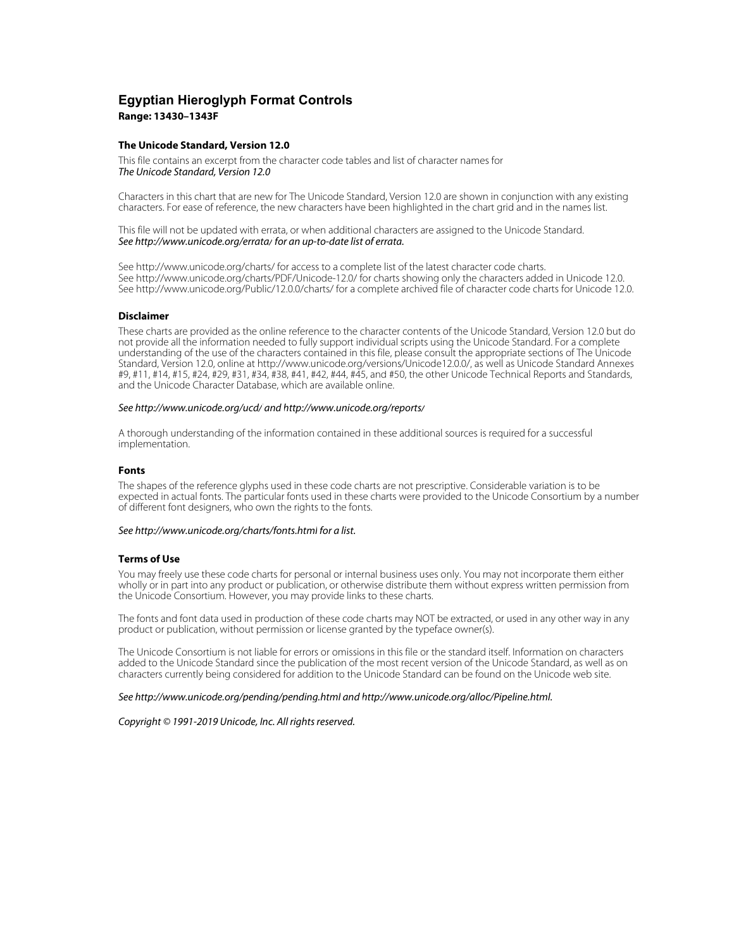# **Egyptian Hieroglyph Format Controls Range: 13430–1343F**

#### **The Unicode Standard, Version 12.0**

This file contains an excerpt from the character code tables and list of character names for The Unicode Standard, Version 12.0

Characters in this chart that are new for The Unicode Standard, Version 12.0 are shown in conjunction with any existing characters. For ease of reference, the new characters have been highlighted in the chart grid and in the names list.

This file will not be updated with errata, or when additional characters are assigned to the Unicode Standard. See <http://www.unicode.org/errata/>for an up-to-date list of errata.

See <http://www.unicode.org/charts/> for access to a complete list of the latest character code charts. See <http://www.unicode.org/charts/PDF/Unicode-12.0/> for charts showing only the characters added in Unicode 12.0. See <http://www.unicode.org/Public/12.0.0/charts/>for a complete archived file of character code charts for Unicode 12.0.

### **Disclaimer**

These charts are provided as the online reference to the character contents of the Unicode Standard, Version 12.0 but do not provide all the information needed to fully support individual scripts using the Unicode Standard. For a complete understanding of the use of the characters contained in this file, please consult the appropriate sections of The Unicode Standard, Version 12.0, online at [http://www.unicode.org/versions/Unicode12.0.0/,](http://www.unicode.org/versions/Unicode12.0.0/) as well as Unicode Standard Annexes #9, #11, #14, #15, #24, #29, #31, #34, #38, #41, #42, #44, #45, and #50, the other Unicode Technical Reports and Standards, and the Unicode Character Database, which are available online.

#### See <http://www.unicode.org/ucd/>and<http://www.unicode.org/reports/>

A thorough understanding of the information contained in these additional sources is required for a successful implementation.

#### **Fonts**

The shapes of the reference glyphs used in these code charts are not prescriptive. Considerable variation is to be expected in actual fonts. The particular fonts used in these charts were provided to the Unicode Consortium by a number of different font designers, who own the rights to the fonts.

#### See <http://www.unicode.org/charts/fonts.html> for a list.

#### **Terms of Use**

You may freely use these code charts for personal or internal business uses only. You may not incorporate them either wholly or in part into any product or publication, or otherwise distribute them without express written permission from the Unicode Consortium. However, you may provide links to these charts.

The fonts and font data used in production of these code charts may NOT be extracted, or used in any other way in any product or publication, without permission or license granted by the typeface owner(s).

The Unicode Consortium is not liable for errors or omissions in this file or the standard itself. Information on characters added to the Unicode Standard since the publication of the most recent version of the Unicode Standard, as well as on characters currently being considered for addition to the Unicode Standard can be found on the Unicode web site.

#### See <http://www.unicode.org/pending/pending.html> and [http://www.unicode.org/alloc/Pipeline.html.](http://www.unicode.org/alloc/Pipeline.html)

Copyright © 1991-2019 Unicode, Inc. All rights reserved.